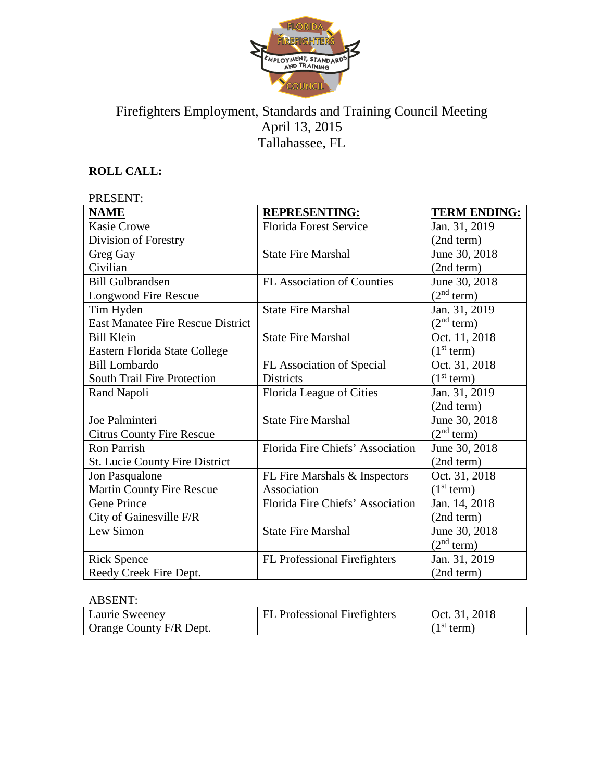

# Firefighters Employment, Standards and Training Council Meeting April 13, 2015 Tallahassee, FL

## **ROLL CALL:**

| PRESENT:                                 |                                   |                        |  |
|------------------------------------------|-----------------------------------|------------------------|--|
| <b>NAME</b>                              | <b>REPRESENTING:</b>              | <b>TERM ENDING:</b>    |  |
| <b>Kasie Crowe</b>                       | <b>Florida Forest Service</b>     | Jan. 31, 2019          |  |
| Division of Forestry                     |                                   | (2nd term)             |  |
| Greg Gay                                 | <b>State Fire Marshal</b>         | June 30, 2018          |  |
| Civilian                                 |                                   | (2nd term)             |  |
| <b>Bill Gulbrandsen</b>                  | <b>FL Association of Counties</b> | June 30, 2018          |  |
| Longwood Fire Rescue                     |                                   | (2 <sup>nd</sup> term) |  |
| Tim Hyden                                | <b>State Fire Marshal</b>         | Jan. 31, 2019          |  |
| <b>East Manatee Fire Rescue District</b> |                                   | (2 <sup>nd</sup> term) |  |
| <b>Bill Klein</b>                        | <b>State Fire Marshal</b>         | Oct. 11, 2018          |  |
| Eastern Florida State College            |                                   | (1 <sup>st</sup> term) |  |
| <b>Bill Lombardo</b>                     | FL Association of Special         | Oct. 31, 2018          |  |
| <b>South Trail Fire Protection</b>       | Districts                         | (1 <sup>st</sup> term) |  |
| Rand Napoli                              | Florida League of Cities          | Jan. 31, 2019          |  |
|                                          |                                   | (2nd term)             |  |
| Joe Palminteri                           | <b>State Fire Marshal</b>         | June 30, 2018          |  |
| <b>Citrus County Fire Rescue</b>         |                                   | (2 <sup>nd</sup> term) |  |
| <b>Ron Parrish</b>                       | Florida Fire Chiefs' Association  | June 30, 2018          |  |
| St. Lucie County Fire District           |                                   | (2nd term)             |  |
| Jon Pasqualone                           | FL Fire Marshals & Inspectors     | Oct. 31, 2018          |  |
| Martin County Fire Rescue                | Association                       | (1 <sup>st</sup> term) |  |
| <b>Gene Prince</b>                       | Florida Fire Chiefs' Association  | Jan. 14, 2018          |  |
| City of Gainesville F/R                  |                                   | (2nd term)             |  |
| Lew Simon                                | <b>State Fire Marshal</b>         | June 30, 2018          |  |
|                                          |                                   | (2 <sup>nd</sup> term) |  |
| <b>Rick Spence</b>                       | FL Professional Firefighters      | Jan. 31, 2019          |  |
| Reedy Creek Fire Dept.                   |                                   | (2nd term)             |  |

### ABSENT:

| Laurie Sweeney          | <b>FL</b> Professional Firefighters | $\vert$ Oct. 31, 2018  |
|-------------------------|-------------------------------------|------------------------|
| Orange County F/R Dept. |                                     | (1 <sup>st</sup> term) |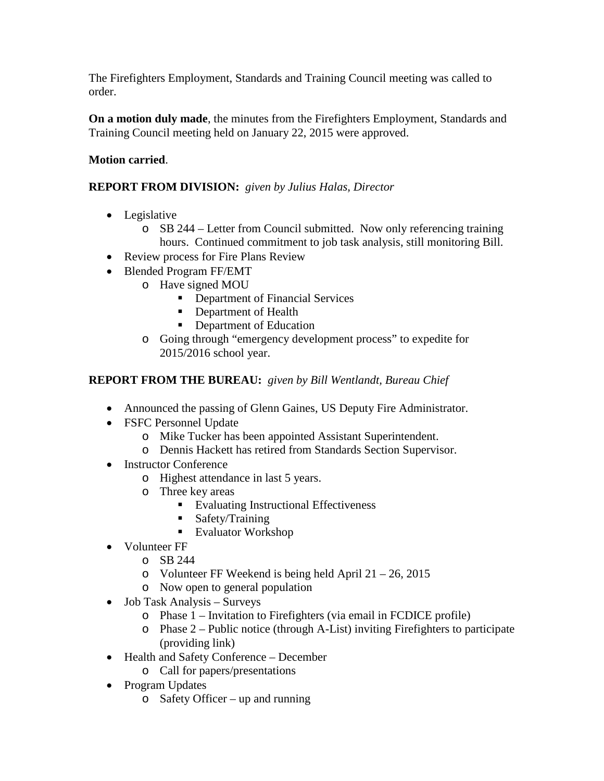The Firefighters Employment, Standards and Training Council meeting was called to order.

**On a motion duly made**, the minutes from the Firefighters Employment, Standards and Training Council meeting held on January 22, 2015 were approved.

### **Motion carried**.

#### **REPORT FROM DIVISION:** *given by Julius Halas, Director*

- Legislative
	- o SB 244 Letter from Council submitted. Now only referencing training hours. Continued commitment to job task analysis, still monitoring Bill.
- Review process for Fire Plans Review
- Blended Program FF/EMT
	- o Have signed MOU
		- Department of Financial Services
		- Department of Health
		- Department of Education
	- o Going through "emergency development process" to expedite for 2015/2016 school year.

#### **REPORT FROM THE BUREAU:** *given by Bill Wentlandt, Bureau Chief*

- Announced the passing of Glenn Gaines, US Deputy Fire Administrator.
- FSFC Personnel Update
	- o Mike Tucker has been appointed Assistant Superintendent.
	- o Dennis Hackett has retired from Standards Section Supervisor.
- Instructor Conference
	- o Highest attendance in last 5 years.
	- o Three key areas
		- Evaluating Instructional Effectiveness
		- Safety/Training
			- Evaluator Workshop
- Volunteer FF
	- o SB 244
	- o Volunteer FF Weekend is being held April  $21 26$ , 2015
	- o Now open to general population
- Job Task Analysis Surveys
	- o Phase 1 Invitation to Firefighters (via email in FCDICE profile)
	- o Phase 2 Public notice (through A-List) inviting Firefighters to participate (providing link)
- Health and Safety Conference December
	- o Call for papers/presentations
- Program Updates
	- o Safety Officer up and running